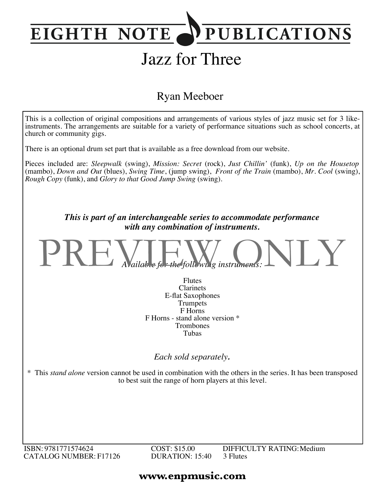## **PUBLICATIONS EIGHTH NOTE**

# Jazz for Three

### Ryan Meeboer



ISBN: 9781771574624 CATALOG NUMBER: F17126 COST: \$15.00 DURATION: 15:40 DIFFICULTY RATING:Medium 3 Flutes

### **www.enpmusic.com**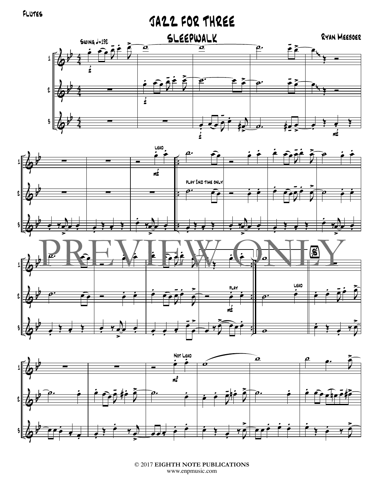# JAZZ FOR THREE





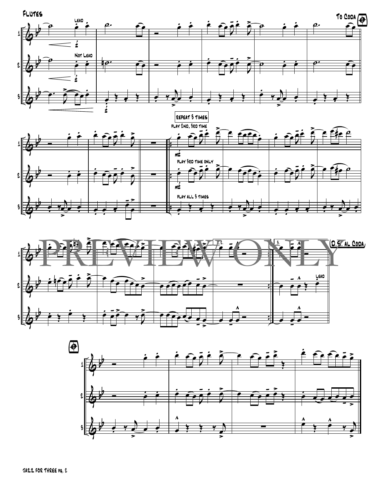





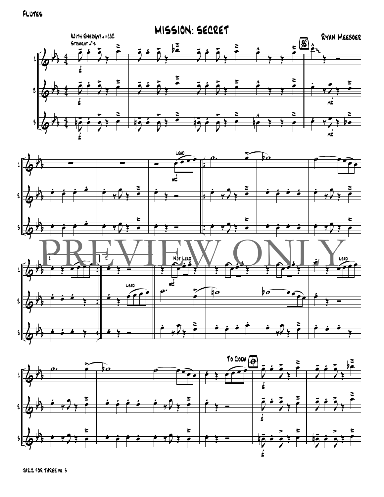Flutes





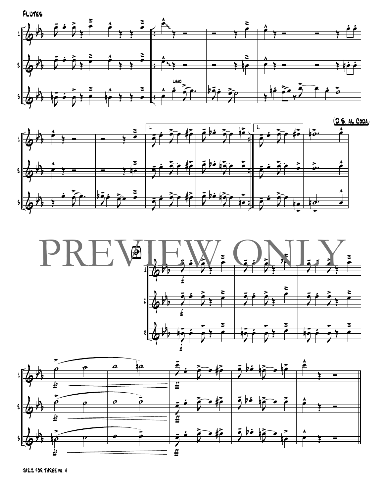





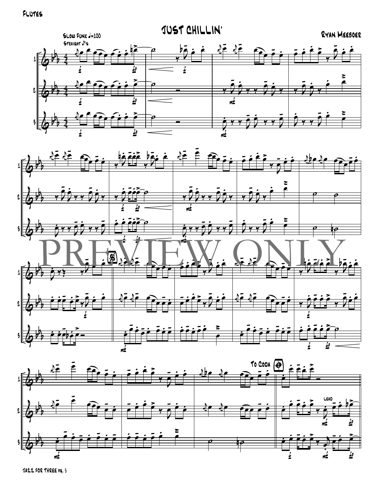



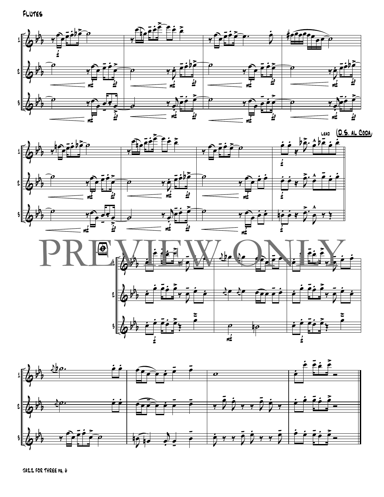





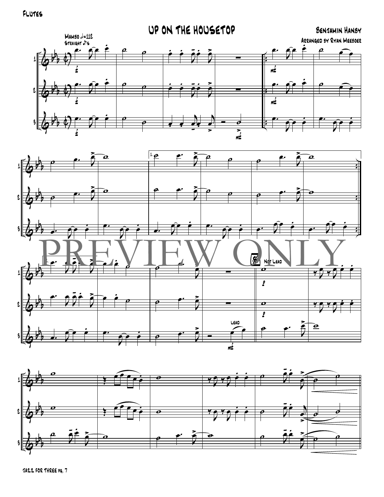#### Flutes





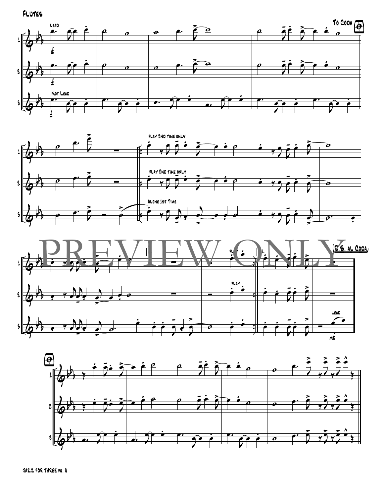Flutes







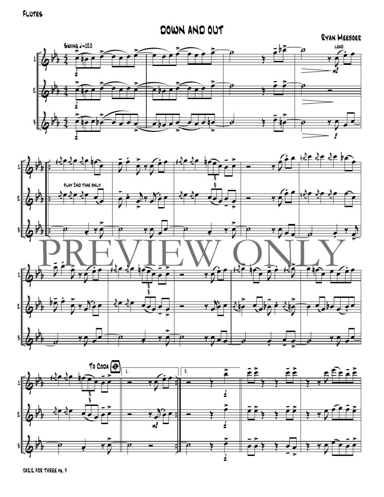#### Flutes

# DOWN AND OUT<br>RYAN MEEBOER





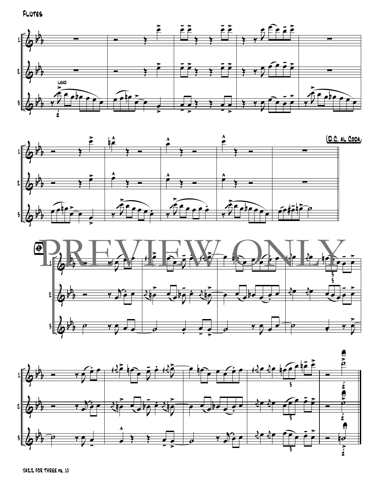







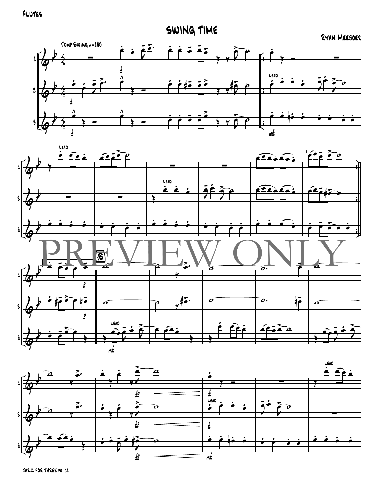SWING TIME

#### RYAN MEEBOER





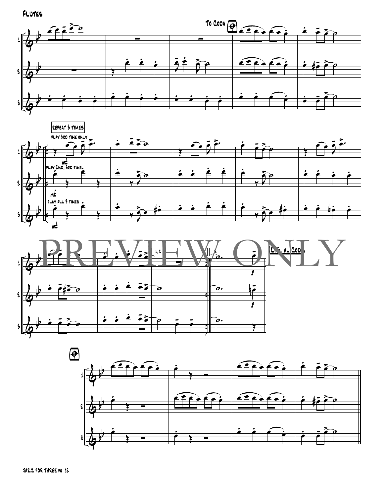





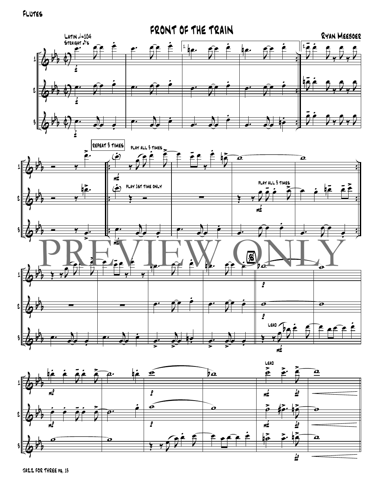Flutes



![](_page_13_Figure_2.jpeg)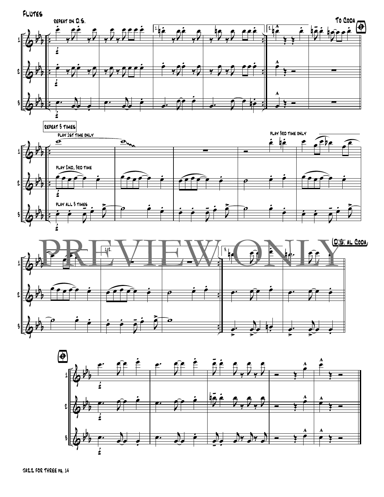![](_page_14_Figure_0.jpeg)

![](_page_14_Figure_1.jpeg)

![](_page_14_Figure_2.jpeg)

![](_page_14_Figure_3.jpeg)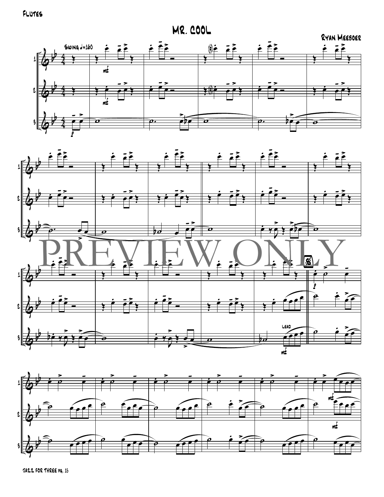**MR. COOL** 

![](_page_15_Figure_2.jpeg)

![](_page_15_Figure_3.jpeg)

![](_page_15_Figure_4.jpeg)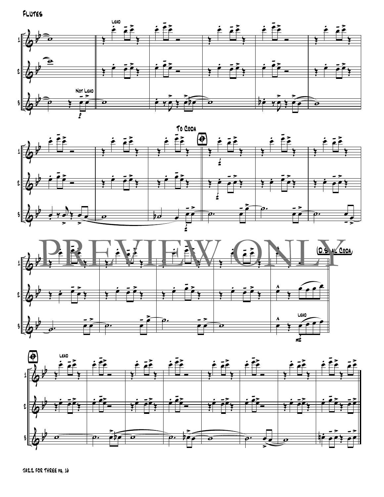FLUTES

![](_page_16_Figure_1.jpeg)

![](_page_16_Figure_2.jpeg)

![](_page_16_Figure_3.jpeg)

![](_page_16_Figure_4.jpeg)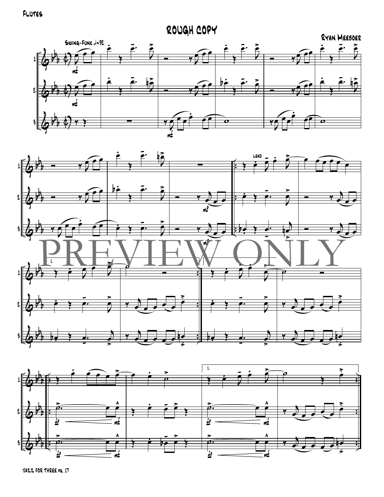![](_page_17_Figure_1.jpeg)

![](_page_17_Figure_2.jpeg)

![](_page_17_Figure_3.jpeg)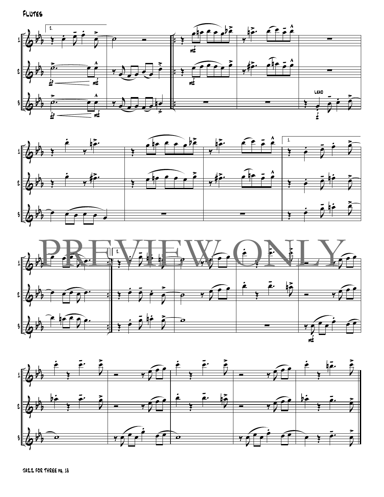FLUTES

![](_page_18_Figure_1.jpeg)

![](_page_18_Figure_2.jpeg)

![](_page_18_Figure_3.jpeg)

![](_page_18_Figure_4.jpeg)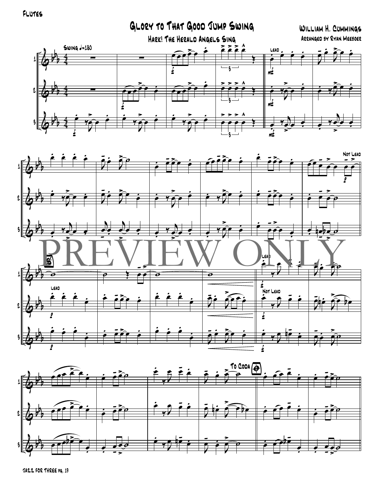FLUTES

GLORY TO THAT GOOD JUMP SWING WILLIAM H. CUMMINGS HARK! THE HERALD ANGELS SING ARRANGED BY RYAN MEEBOER  $Swing = 180$  $\boldsymbol{\lambda}$  $\tilde{\bullet}$ ∘ ∘ LEAD 1 ß £ mź l 3

![](_page_19_Figure_2.jpeg)

![](_page_19_Figure_3.jpeg)